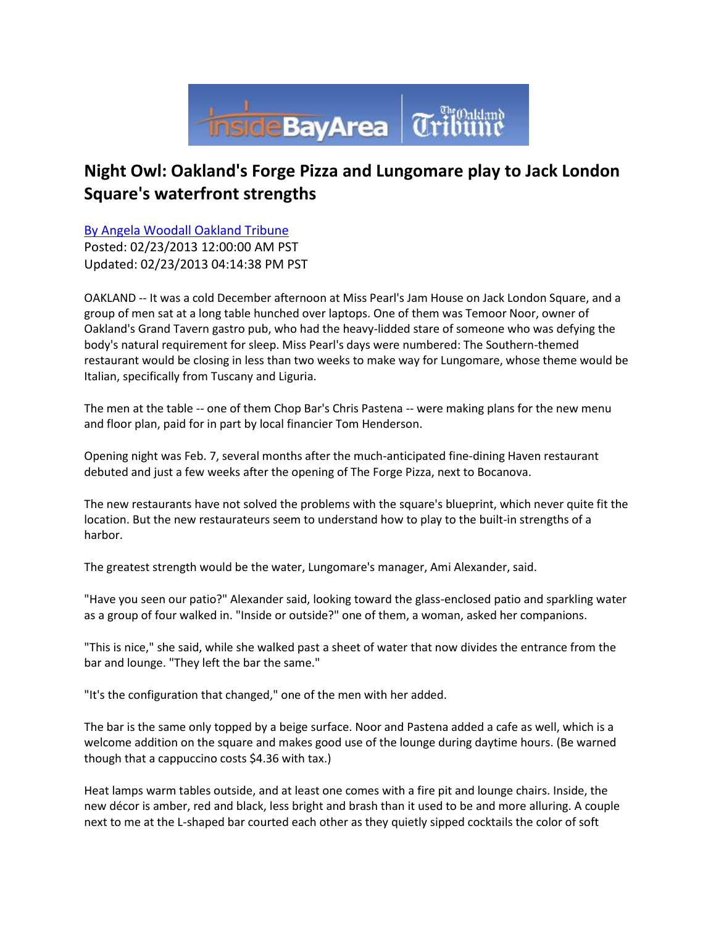

## **Night Owl: Oakland's Forge Pizza and Lungomare play to Jack London Square's waterfront strengths**

[By Angela Woodall Oakland Tribune](mailto:awoodall@bayareanewsgroup.com?subject=Inside%20Bay%20Area:%20) Posted: 02/23/2013 12:00:00 AM PST Updated: 02/23/2013 04:14:38 PM PST

OAKLAND -- It was a cold December afternoon at Miss Pearl's Jam House on Jack London Square, and a group of men sat at a long table hunched over laptops. One of them was Temoor Noor, owner of Oakland's Grand Tavern gastro pub, who had the heavy-lidded stare of someone who was defying the body's natural requirement for sleep. Miss Pearl's days were numbered: The Southern-themed restaurant would be closing in less than two weeks to make way for Lungomare, whose theme would be Italian, specifically from Tuscany and Liguria.

The men at the table -- one of them Chop Bar's Chris Pastena -- were making plans for the new menu and floor plan, paid for in part by local financier Tom Henderson.

Opening night was Feb. 7, several months after the much-anticipated fine-dining Haven restaurant debuted and just a few weeks after the opening of The Forge Pizza, next to Bocanova.

The new restaurants have not solved the problems with the square's blueprint, which never quite fit the location. But the new restaurateurs seem to understand how to play to the built-in strengths of a harbor.

The greatest strength would be the water, Lungomare's manager, Ami Alexander, said.

"Have you seen our patio?" Alexander said, looking toward the glass-enclosed patio and sparkling water as a group of four walked in. "Inside or outside?" one of them, a woman, asked her companions.

"This is nice," she said, while she walked past a sheet of water that now divides the entrance from the bar and lounge. "They left the bar the same."

"It's the configuration that changed," one of the men with her added.

The bar is the same only topped by a beige surface. Noor and Pastena added a cafe as well, which is a welcome addition on the square and makes good use of the lounge during daytime hours. (Be warned though that a cappuccino costs \$4.36 with tax.)

Heat lamps warm tables outside, and at least one comes with a fire pit and lounge chairs. Inside, the new décor is amber, red and black, less bright and brash than it used to be and more alluring. A couple next to me at the L-shaped bar courted each other as they quietly sipped cocktails the color of soft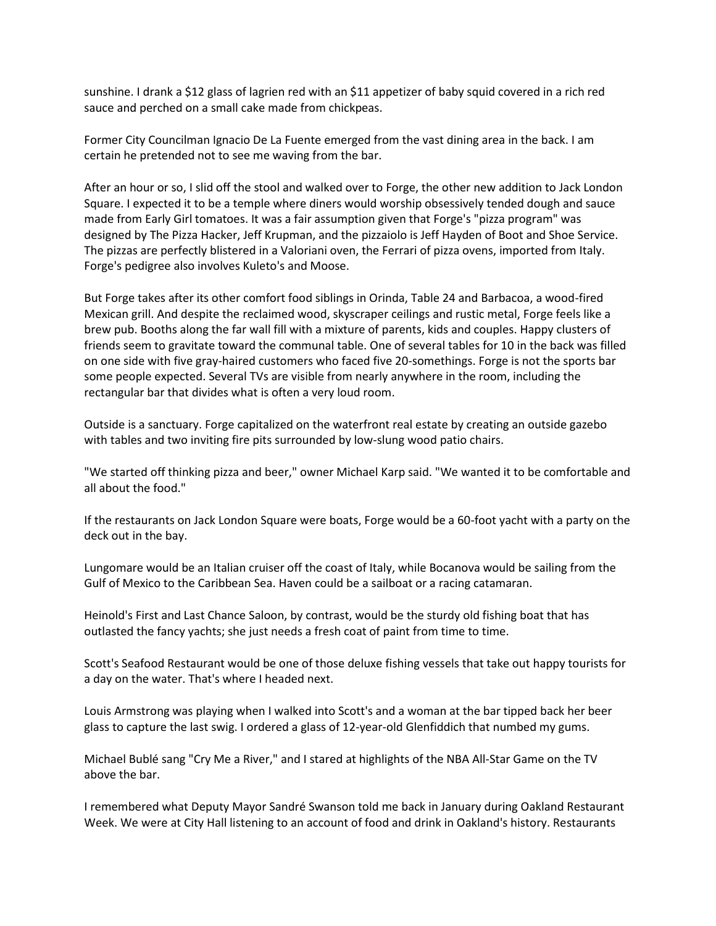sunshine. I drank a \$12 glass of lagrien red with an \$11 appetizer of baby squid covered in a rich red sauce and perched on a small cake made from chickpeas.

Former City Councilman Ignacio De La Fuente emerged from the vast dining area in the back. I am certain he pretended not to see me waving from the bar.

After an hour or so, I slid off the stool and walked over to Forge, the other new addition to Jack London Square. I expected it to be a temple where diners would worship obsessively tended dough and sauce made from Early Girl tomatoes. It was a fair assumption given that Forge's "pizza program" was designed by The Pizza Hacker, Jeff Krupman, and the pizzaiolo is Jeff Hayden of Boot and Shoe Service. The pizzas are perfectly blistered in a Valoriani oven, the Ferrari of pizza ovens, imported from Italy. Forge's pedigree also involves Kuleto's and Moose.

But Forge takes after its other comfort food siblings in Orinda, Table 24 and Barbacoa, a wood-fired Mexican grill. And despite the reclaimed wood, skyscraper ceilings and rustic metal, Forge feels like a brew pub. Booths along the far wall fill with a mixture of parents, kids and couples. Happy clusters of friends seem to gravitate toward the communal table. One of several tables for 10 in the back was filled on one side with five gray-haired customers who faced five 20-somethings. Forge is not the sports bar some people expected. Several TVs are visible from nearly anywhere in the room, including the rectangular bar that divides what is often a very loud room.

Outside is a sanctuary. Forge capitalized on the waterfront real estate by creating an outside gazebo with tables and two inviting fire pits surrounded by low-slung wood patio chairs.

"We started off thinking pizza and beer," owner Michael Karp said. "We wanted it to be comfortable and all about the food."

If the restaurants on Jack London Square were boats, Forge would be a 60-foot yacht with a party on the deck out in the bay.

Lungomare would be an Italian cruiser off the coast of Italy, while Bocanova would be sailing from the Gulf of Mexico to the Caribbean Sea. Haven could be a sailboat or a racing catamaran.

Heinold's First and Last Chance Saloon, by contrast, would be the sturdy old fishing boat that has outlasted the fancy yachts; she just needs a fresh coat of paint from time to time.

Scott's Seafood Restaurant would be one of those deluxe fishing vessels that take out happy tourists for a day on the water. That's where I headed next.

Louis Armstrong was playing when I walked into Scott's and a woman at the bar tipped back her beer glass to capture the last swig. I ordered a glass of 12-year-old Glenfiddich that numbed my gums.

Michael Bublé sang "Cry Me a River," and I stared at highlights of the NBA All-Star Game on the TV above the bar.

I remembered what Deputy Mayor Sandré Swanson told me back in January during Oakland Restaurant Week. We were at City Hall listening to an account of food and drink in Oakland's history. Restaurants